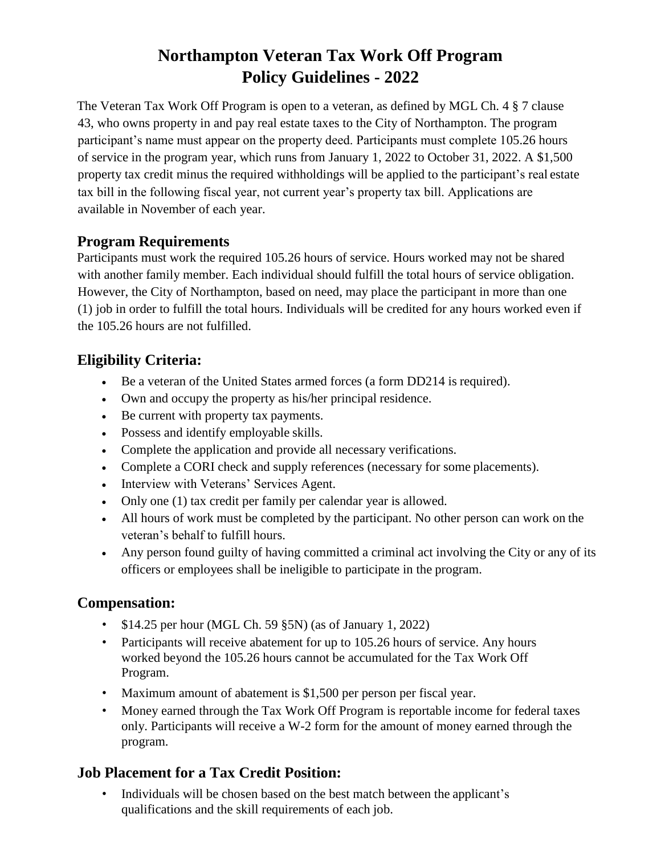# **Northampton Veteran Tax Work Off Program Policy Guidelines - 2022**

The Veteran Tax Work Off Program is open to a veteran, as defined by MGL Ch. 4 § 7 clause 43, who owns property in and pay real estate taxes to the City of Northampton. The program participant's name must appear on the property deed. Participants must complete 105.26 hours of service in the program year, which runs from January 1, 2022 to October 31, 2022. A \$1,500 property tax credit minus the required withholdings will be applied to the participant's real estate tax bill in the following fiscal year, not current year's property tax bill. Applications are available in November of each year.

#### **Program Requirements**

Participants must work the required 105.26 hours of service. Hours worked may not be shared with another family member. Each individual should fulfill the total hours of service obligation. However, the City of Northampton, based on need, may place the participant in more than one (1) job in order to fulfill the total hours. Individuals will be credited for any hours worked even if the 105.26 hours are not fulfilled.

### **Eligibility Criteria:**

- Be a veteran of the United States armed forces (a form DD214 is required).
- Own and occupy the property as his/her principal residence.
- Be current with property tax payments.
- Possess and identify employable skills.
- Complete the application and provide all necessary verifications.
- Complete a CORI check and supply references (necessary for some placements).
- Interview with Veterans' Services Agent.
- Only one (1) tax credit per family per calendar year is allowed.
- All hours of work must be completed by the participant. No other person can work on the veteran's behalf to fulfill hours.
- Any person found guilty of having committed a criminal act involving the City or any of its officers or employees shall be ineligible to participate in the program.

#### **Compensation:**

- \$14.25 per hour (MGL Ch. 59 §5N) (as of January 1, 2022)
- Participants will receive abatement for up to 105.26 hours of service. Any hours worked beyond the 105.26 hours cannot be accumulated for the Tax Work Off Program.
- Maximum amount of abatement is \$1,500 per person per fiscal year.
- Money earned through the Tax Work Off Program is reportable income for federal taxes only. Participants will receive a W-2 form for the amount of money earned through the program.

## **Job Placement for a Tax Credit Position:**

• Individuals will be chosen based on the best match between the applicant's qualifications and the skill requirements of each job.